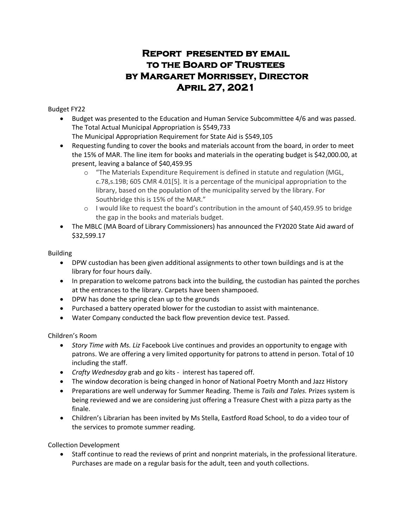# **Report presented by email to the Board of Trustees by Margaret Morrissey, Director April 27, 2021**

#### Budget FY22

• Budget was presented to the Education and Human Service Subcommittee 4/6 and was passed. The Total Actual Municipal Appropriation is \$549,733

The Municipal Appropriation Requirement for State Aid is \$549,105

- Requesting funding to cover the books and materials account from the board, in order to meet the 15% of MAR. The line item for books and materials in the operating budget is \$42,000.00, at present, leaving a balance of \$40,459.95
	- o "The Materials Expenditure Requirement is defined in statute and regulation (MGL, c.78,s.19B; 605 CMR 4.01[5]. It is a percentage of the municipal appropriation to the library, based on the population of the municipality served by the library. For Southbridge this is 15% of the MAR."
	- o I would like to request the board's contribution in the amount of \$40,459.95 to bridge the gap in the books and materials budget.
- The MBLC (MA Board of Library Commissioners) has announced the FY2020 State Aid award of \$32,599.17

#### Building

- DPW custodian has been given additional assignments to other town buildings and is at the library for four hours daily.
- In preparation to welcome patrons back into the building, the custodian has painted the porches at the entrances to the library. Carpets have been shampooed.
- DPW has done the spring clean up to the grounds
- Purchased a battery operated blower for the custodian to assist with maintenance.
- Water Company conducted the back flow prevention device test. Passed.

Children's Room

- *Story Time with Ms. Liz* Facebook Live continues and provides an opportunity to engage with patrons. We are offering a very limited opportunity for patrons to attend in person. Total of 10 including the staff.
- *Crafty Wednesday* grab and go kits interest has tapered off.
- The window decoration is being changed in honor of National Poetry Month and Jazz History
- Preparations are well underway for Summer Reading. Theme is *Tails and Tales.* Prizes system is being reviewed and we are considering just offering a Treasure Chest with a pizza party as the finale.
- Children's Librarian has been invited by Ms Stella, Eastford Road School, to do a video tour of the services to promote summer reading.

Collection Development

• Staff continue to read the reviews of print and nonprint materials, in the professional literature. Purchases are made on a regular basis for the adult, teen and youth collections.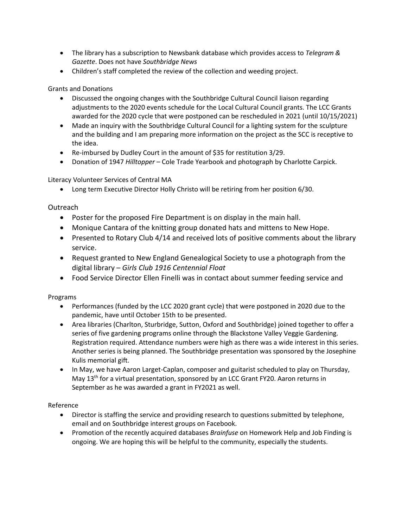- The library has a subscription to Newsbank database which provides access to *Telegram & Gazette*. Does not have *Southbridge News*
- Children's staff completed the review of the collection and weeding project.

## Grants and Donations

- Discussed the ongoing changes with the Southbridge Cultural Council liaison regarding adjustments to the 2020 events schedule for the Local Cultural Council grants. The LCC Grants awarded for the 2020 cycle that were postponed can be rescheduled in 2021 (until 10/15/2021)
- Made an inquiry with the Southbridge Cultural Council for a lighting system for the sculpture and the building and I am preparing more information on the project as the SCC is receptive to the idea.
- Re-imbursed by Dudley Court in the amount of \$35 for restitution 3/29.
- Donation of 1947 *Hilltopper* Cole Trade Yearbook and photograph by Charlotte Carpick.

# Literacy Volunteer Services of Central MA

• Long term Executive Director Holly Christo will be retiring from her position 6/30.

# Outreach

- Poster for the proposed Fire Department is on display in the main hall.
- Monique Cantara of the knitting group donated hats and mittens to New Hope.
- Presented to Rotary Club 4/14 and received lots of positive comments about the library service.
- Request granted to New England Genealogical Society to use a photograph from the digital library – *Girls Club 1916 Centennial Float*
- Food Service Director Ellen Finelli was in contact about summer feeding service and

## Programs

- Performances (funded by the LCC 2020 grant cycle) that were postponed in 2020 due to the pandemic, have until October 15th to be presented.
- Area libraries (Charlton, Sturbridge, Sutton, Oxford and Southbridge) joined together to offer a series of five gardening programs online through the Blackstone Valley Veggie Gardening. Registration required. Attendance numbers were high as there was a wide interest in this series. Another series is being planned. The Southbridge presentation was sponsored by the Josephine Kulis memorial gift.
- In May, we have Aaron Larget-Caplan, composer and guitarist scheduled to play on Thursday, May 13<sup>th</sup> for a virtual presentation, sponsored by an LCC Grant FY20. Aaron returns in September as he was awarded a grant in FY2021 as well.

## Reference

- Director is staffing the service and providing research to questions submitted by telephone, email and on Southbridge interest groups on Facebook.
- Promotion of the recently acquired databases *Brainfuse* on Homework Help and Job Finding is ongoing. We are hoping this will be helpful to the community, especially the students.